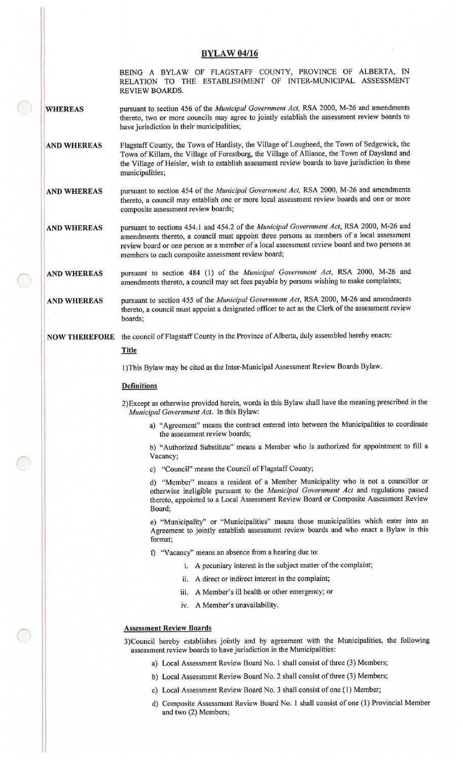## **BYLAW 04/16**

BEING A BYLAW OF FLAGSTAFF COUNTY, PROVINCE OF ALBERTA, 1N RELATION TO THE ESTABLISHMENT OF INTER -MUNICIPAL ASSESSMENT REVIEW BOARDS.

pursuant to section 456 of the Municipal Government Act, RSA 2000, M-26 and amendments **WHEREAS** thereto, two or more councils may agree to jointly establish the assessment review boards to have jurisdiction in their municipalities;

- AND WHEREAS Flagstaff County, the Town of Hardisty, the Village of Lougheed, the Town of Sedgewick, the Town of Killam, the Village of Forestburg, the Village of Alliance, the Town of Daysland and the Village of Heisler, wish to establish assessment review boards to have jurisdiction in these municipalities;
- AND WHEREAS pursuant to section 454 of the *Municipal Government Act*, RSA 2000, M-26 and amendments thereto, a council may establish one or more local assessment review boards and one or more composite assessment review boards;

AND WHEREAS pursuant to sections 454.1 and 454.2 of the Municipal Government Act, RSA 2000, M-26 and amendments thereto, a council must appoint three persons as members of <sup>a</sup> local assessment review board or one person as <sup>a</sup> member of <sup>a</sup> local assessment review board and two persons as members to each composite assessment review board;

AND WHEREAS pursuant to section 484 (1) of the Municipal Government Act, RSA 2000, M-26 and amendments thereto, a council may set fees payable by persons wishing to make complaints;

AND WHEREAS pursuant to section 455 of the Municipal Government Act, RSA 2000, M-26 and amendments thereto, a council must appoint <sup>a</sup> designated officer to act as the Clerk of the assessment review boards;

# NOW THEREFORE the council of Flagstaff County in the Province of Alberta, duly assembled hereby enacts:

# **Title**

1) This Bylaw may be cited as the Inter -Municipal Assessment Review Boards Bylaw.

## **Definitions**

2) Except as otherwise provided herein, words in this Bylaw shall have the meaning prescribed in the Municipal Government Act. In this Bylaw:

a) " Agreement" means the contract entered into between the Municipalities to coordinate the assessment review boards;

b) " Authorized Substitute" means <sup>a</sup> Member who is authorized for appointment to fill <sup>a</sup> Vacancy;

c) "Council" means the Council of Flagstaff County;

d) " Member" means <sup>a</sup> resident of a Member Municipality who is not <sup>a</sup> councillor or otherwise ineligible pursuant to the Municipal Government Act and regulations passed thereto, appointed to a Local Assessment Review Board or Composite Assessment Review Board;

e) " Municipality" or " Municipalities" means those municipalities which enter into an Agreement to jointly establish assessment review boards and who enact a Bylaw in this format;

f) "Vacancy" means an absence from a hearing due to:

- i. A pecuniary interest in the subject matter of the complaint;
- ii. A direct or indirect interest in the complaint;
- iii. A Member's ill health or other emergency; or
- iv. A Member's unavailability.

#### Assessment Review Boards

3) Council hereby establishes jointly and by agreement with the Municipalities, the following assessment review boards to have jurisdiction in the Municipalities:

- a) Local Assessment Review Board No. 1 shall consist of three (3) Members;
- b) Local Assessment Review Board No. 2 shall consist of three (3) Members;
- c) Local Assessment Review Board No. 3 shall consist of one (1) Member;
- d) Composite Assessment Review Board No. 1 shall consist of one ( 1) Provincial Member and two (2) Members;